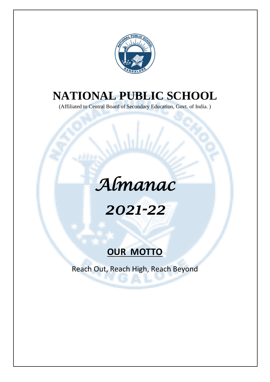

## **NATIONAL PUBLIC SCHOOL**

(Affiliated to Central Board of Secondary Education, Govt. of India. )

## *Almanac*

## *2021-22*

## **OUR MOTTO**

Reach Out, Reach High, Reach Beyond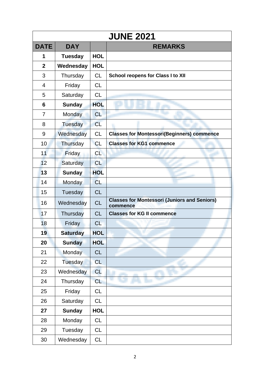|                |                 |            | <b>JUNE 2021</b>                                                |
|----------------|-----------------|------------|-----------------------------------------------------------------|
| <b>DATE</b>    | <b>DAY</b>      |            | <b>REMARKS</b>                                                  |
| 1              | <b>Tuesday</b>  | <b>HOL</b> |                                                                 |
| $\overline{2}$ | Wednesday       | <b>HOL</b> |                                                                 |
| 3              | Thursday        | <b>CL</b>  | <b>School reopens for Class I to XII</b>                        |
| 4              | Friday          | <b>CL</b>  |                                                                 |
| 5              | Saturday        | CL         |                                                                 |
| 6              | <b>Sunday</b>   | <b>HOL</b> |                                                                 |
| 7              | Monday          | <b>CL</b>  |                                                                 |
| 8              | Tuesday         | <b>CL</b>  |                                                                 |
| 9              | Wednesday       | <b>CL</b>  | <b>Classes for Montessori(Beginners) commence</b>               |
| 10             | Thursday        | <b>CL</b>  | <b>Classes for KG1 commence</b>                                 |
| 11             | Friday          | <b>CL</b>  |                                                                 |
| 12             | Saturday        | <b>CL</b>  |                                                                 |
| 13             | <b>Sunday</b>   | <b>HOL</b> |                                                                 |
| 14             | Monday          | <b>CL</b>  |                                                                 |
| 15             | Tuesday         | <b>CL</b>  |                                                                 |
| 16             | Wednesday       | <b>CL</b>  | <b>Classes for Montessori (Juniors and Seniors)</b><br>commence |
| 17             | Thursday        | <b>CL</b>  | <b>Classes for KG II commence</b>                               |
| 18             | Friday          | <b>CL</b>  |                                                                 |
| 19             | <b>Saturday</b> | <b>HOL</b> |                                                                 |
| 20             | <b>Sunday</b>   | <b>HOL</b> |                                                                 |
| 21             | Monday          | <b>CL</b>  |                                                                 |
| 22             | Tuesday         | <b>CL</b>  |                                                                 |
| 23             | Wednesday       | <b>CL</b>  |                                                                 |
| 24             | Thursday        | <b>CL</b>  |                                                                 |
| 25             | Friday          | CL         |                                                                 |
| 26             | Saturday        | <b>CL</b>  |                                                                 |
| 27             | <b>Sunday</b>   | <b>HOL</b> |                                                                 |
| 28             | Monday          | CL         |                                                                 |
| 29             | Tuesday         | <b>CL</b>  |                                                                 |
| 30             | Wednesday       | CL         |                                                                 |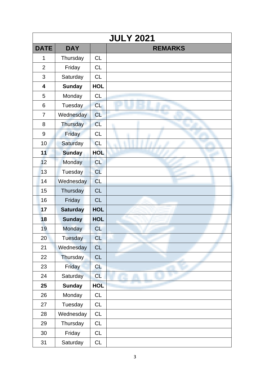|                | <b>JULY 2021</b> |            |                |  |  |
|----------------|------------------|------------|----------------|--|--|
| <b>DATE</b>    | <b>DAY</b>       |            | <b>REMARKS</b> |  |  |
| 1              | Thursday         | <b>CL</b>  |                |  |  |
| $\overline{2}$ | Friday           | <b>CL</b>  |                |  |  |
| 3              | Saturday         | <b>CL</b>  |                |  |  |
| 4              | <b>Sunday</b>    | <b>HOL</b> |                |  |  |
| 5              | Monday           | <b>CL</b>  |                |  |  |
| 6              | Tuesday          | <b>CL</b>  |                |  |  |
| $\overline{7}$ | Wednesday        | <b>CL</b>  |                |  |  |
| 8              | <b>Thursday</b>  | <b>CL</b>  |                |  |  |
| 9              | Friday           | <b>CL</b>  |                |  |  |
| 10             | Saturday         | <b>CL</b>  |                |  |  |
| 11             | <b>Sunday</b>    | <b>HOL</b> |                |  |  |
| 12             | Monday           | <b>CL</b>  |                |  |  |
| 13             | Tuesday          | CL         |                |  |  |
| 14             | Wednesday        | <b>CL</b>  |                |  |  |
| 15             | Thursday         | <b>CL</b>  |                |  |  |
| 16             | Friday           | <b>CL</b>  |                |  |  |
| 17             | <b>Saturday</b>  | <b>HOL</b> |                |  |  |
| 18             | <b>Sunday</b>    | <b>HOL</b> |                |  |  |
| 19             | Monday           | <b>CL</b>  |                |  |  |
| 20             | Tuesday          | <b>CL</b>  |                |  |  |
| 21             | Wednesday        | <b>CL</b>  |                |  |  |
| 22             | Thursday         | CL         |                |  |  |
| 23             | Friday           | CL         |                |  |  |
| 24             | Saturday         | <b>CL</b>  |                |  |  |
| 25             | <b>Sunday</b>    | <b>HOL</b> |                |  |  |
| 26             | Monday           | CL         |                |  |  |
| 27             | Tuesday          | CL         |                |  |  |
| 28             | Wednesday        | <b>CL</b>  |                |  |  |
| 29             | Thursday         | CL         |                |  |  |
| 30             | Friday           | CL         |                |  |  |
| 31             | Saturday         | <b>CL</b>  |                |  |  |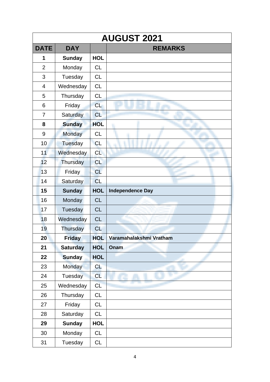|                | <b>AUGUST 2021</b> |            |                         |  |  |
|----------------|--------------------|------------|-------------------------|--|--|
| <b>DATE</b>    | <b>DAY</b>         |            | <b>REMARKS</b>          |  |  |
| 1              | <b>Sunday</b>      | <b>HOL</b> |                         |  |  |
| $\overline{2}$ | Monday             | <b>CL</b>  |                         |  |  |
| 3              | Tuesday            | <b>CL</b>  |                         |  |  |
| $\overline{4}$ | Wednesday          | <b>CL</b>  |                         |  |  |
| 5              | Thursday           | <b>CL</b>  |                         |  |  |
| 6              | Friday             | <b>CL</b>  |                         |  |  |
| $\overline{7}$ | Saturday           | <b>CL</b>  |                         |  |  |
| 8              | <b>Sunday</b>      | <b>HOL</b> |                         |  |  |
| 9              | <b>Monday</b>      | <b>CL</b>  |                         |  |  |
| 10             | Tuesday            | <b>CL</b>  |                         |  |  |
| 11             | Wednesday          | <b>CL</b>  |                         |  |  |
| 12             | Thursday           | <b>CL</b>  |                         |  |  |
| 13             | Friday             | CL         |                         |  |  |
| 14             | Saturday           | <b>CL</b>  |                         |  |  |
| 15             | <b>Sunday</b>      | <b>HOL</b> | <b>Independence Day</b> |  |  |
| 16             | Monday             | <b>CL</b>  |                         |  |  |
| 17             | Tuesday            | <b>CL</b>  |                         |  |  |
| 18             | Wednesday          | <b>CL</b>  |                         |  |  |
| 19             | Thursday           | <b>CL</b>  |                         |  |  |
| 20             | <b>Friday</b>      | <b>HOL</b> | Varamahalakshmi Vratham |  |  |
| 21             | <b>Saturday</b>    | <b>HOL</b> | Onam                    |  |  |
| 22             | <b>Sunday</b>      | <b>HOL</b> |                         |  |  |
| 23             | Monday             | <b>CL</b>  |                         |  |  |
| 24             | Tuesday            | <b>CL</b>  |                         |  |  |
| 25             | Wednesday          | CL         |                         |  |  |
| 26             | Thursday           | <b>CL</b>  |                         |  |  |
| 27             | Friday             | <b>CL</b>  |                         |  |  |
| 28             | Saturday           | <b>CL</b>  |                         |  |  |
| 29             | <b>Sunday</b>      | <b>HOL</b> |                         |  |  |
| 30             | Monday             | <b>CL</b>  |                         |  |  |
| 31             | Tuesday            | <b>CL</b>  |                         |  |  |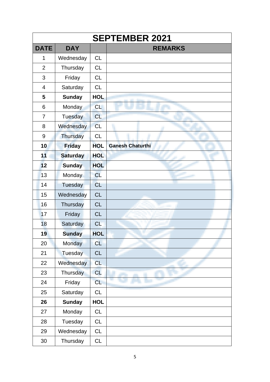|                | <b>SEPTEMBER 2021</b> |            |                         |  |  |
|----------------|-----------------------|------------|-------------------------|--|--|
| <b>DATE</b>    | <b>DAY</b>            |            | <b>REMARKS</b>          |  |  |
| 1              | Wednesday             | <b>CL</b>  |                         |  |  |
| $\overline{2}$ | Thursday              | <b>CL</b>  |                         |  |  |
| 3              | Friday                | <b>CL</b>  |                         |  |  |
| $\overline{4}$ | Saturday              | <b>CL</b>  |                         |  |  |
| 5              | <b>Sunday</b>         | <b>HOL</b> |                         |  |  |
| 6              | Monday                | <b>CL</b>  |                         |  |  |
| 7              | Tuesday               | <b>CL</b>  |                         |  |  |
| 8              | Wednesday             | <b>CL</b>  |                         |  |  |
| 9              | <b>Thursday</b>       | <b>CL</b>  |                         |  |  |
| 10             | <b>Friday</b>         | <b>HOL</b> | <b>Ganesh Chaturthi</b> |  |  |
| 11             | <b>Saturday</b>       | <b>HOL</b> |                         |  |  |
| 12             | <b>Sunday</b>         | <b>HOL</b> |                         |  |  |
| 13             | Monday                | <b>CL</b>  |                         |  |  |
| 14             | <b>Tuesday</b>        | <b>CL</b>  |                         |  |  |
| 15             | Wednesday             | <b>CL</b>  |                         |  |  |
| 16             | Thursday              | <b>CL</b>  |                         |  |  |
| 17             | Friday                | <b>CL</b>  |                         |  |  |
| 18             | Saturday              | <b>CL</b>  |                         |  |  |
| 19             | <b>Sunday</b>         | <b>HOL</b> |                         |  |  |
| 20             | Monday                | <b>CL</b>  |                         |  |  |
| 21             | <b>Tuesday</b>        | CL         |                         |  |  |
| 22             | Wednesday             | <b>CL</b>  |                         |  |  |
| 23             | <b>Thursday</b>       | <b>CL</b>  |                         |  |  |
| 24             | Friday                | <b>CL</b>  |                         |  |  |
| 25             | Saturday              | CL         |                         |  |  |
| 26             | <b>Sunday</b>         | <b>HOL</b> |                         |  |  |
| 27             | Monday                | CL         |                         |  |  |
| 28             | Tuesday               | <b>CL</b>  |                         |  |  |
| 29             | Wednesday             | CL         |                         |  |  |
| 30             | Thursday              | <b>CL</b>  |                         |  |  |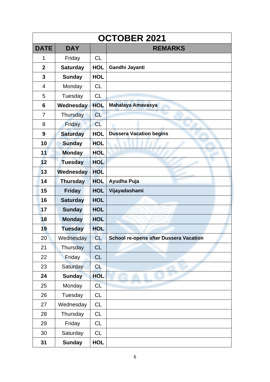|                | <b>OCTOBER 2021</b> |            |                                               |  |  |
|----------------|---------------------|------------|-----------------------------------------------|--|--|
| <b>DATE</b>    | <b>DAY</b>          |            | <b>REMARKS</b>                                |  |  |
| 1              | Friday              | <b>CL</b>  |                                               |  |  |
| $\mathbf{2}$   | <b>Saturday</b>     | <b>HOL</b> | Gandhi Jayanti                                |  |  |
| 3              | <b>Sunday</b>       | <b>HOL</b> |                                               |  |  |
| 4              | Monday              | <b>CL</b>  |                                               |  |  |
| 5              | Tuesday             | <b>CL</b>  |                                               |  |  |
| 6              | Wednesday           | <b>HOL</b> | Mahalaya Amavasya                             |  |  |
| $\overline{7}$ | Thursday            | <b>CL</b>  |                                               |  |  |
| 8              | Friday              | <b>CL</b>  |                                               |  |  |
| 9              | <b>Saturday</b>     | <b>HOL</b> | <b>Dussera Vacation begins</b>                |  |  |
| 10             | <b>Sunday</b>       | <b>HOL</b> |                                               |  |  |
| 11             | <b>Monday</b>       | <b>HOL</b> |                                               |  |  |
| 12             | <b>Tuesday</b>      | <b>HOL</b> |                                               |  |  |
| 13             | Wednesday           | <b>HOL</b> |                                               |  |  |
| 14             | <b>Thursday</b>     | <b>HOL</b> | Ayudha Puja                                   |  |  |
| 15             | <b>Friday</b>       | <b>HOL</b> | Vijayadashami                                 |  |  |
| 16             | <b>Saturday</b>     | <b>HOL</b> |                                               |  |  |
| 17             | <b>Sunday</b>       | <b>HOL</b> |                                               |  |  |
| 18             | <b>Monday</b>       | <b>HOL</b> |                                               |  |  |
| 19             | <b>Tuesday</b>      | <b>HOL</b> |                                               |  |  |
| 20             | Wednesday           | <b>CL</b>  | <b>School re-opens after Dussera Vacation</b> |  |  |
| 21             | Thursday            | <b>CL</b>  |                                               |  |  |
| 22             | Friday              | <b>CL</b>  |                                               |  |  |
| 23             | <b>Saturday</b>     | <b>CL</b>  |                                               |  |  |
| 24             | <b>Sunday</b>       | <b>HOL</b> |                                               |  |  |
| 25             | Monday              | CL         |                                               |  |  |
| 26             | Tuesday             | <b>CL</b>  |                                               |  |  |
| 27             | Wednesday           | <b>CL</b>  |                                               |  |  |
| 28             | Thursday            | <b>CL</b>  |                                               |  |  |
| 29             | Friday              | <b>CL</b>  |                                               |  |  |
| 30             | Saturday            | CL         |                                               |  |  |
| 31             | <b>Sunday</b>       | <b>HOL</b> |                                               |  |  |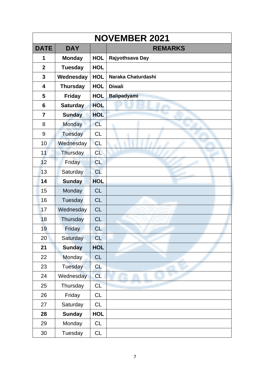| <b>NOVEMBER 2021</b>    |                 |            |                    |  |
|-------------------------|-----------------|------------|--------------------|--|
| <b>DATE</b>             | <b>DAY</b>      |            | <b>REMARKS</b>     |  |
| 1                       | <b>Monday</b>   | <b>HOL</b> | Rajyothsava Day    |  |
| $\overline{2}$          | <b>Tuesday</b>  | <b>HOL</b> |                    |  |
| 3                       | Wednesday       | <b>HOL</b> | Naraka Chaturdashi |  |
| $\overline{\mathbf{4}}$ | <b>Thursday</b> | <b>HOL</b> | <b>Diwali</b>      |  |
| 5                       | <b>Friday</b>   | <b>HOL</b> | <b>Balipadyami</b> |  |
| 6                       | <b>Saturday</b> | <b>HOL</b> |                    |  |
| $\overline{7}$          | <b>Sunday</b>   | <b>HOL</b> |                    |  |
| 8                       | <b>Monday</b>   | <b>CL</b>  |                    |  |
| 9                       | Tuesday         | <b>CL</b>  |                    |  |
| 10                      | Wednesday       | <b>CL</b>  |                    |  |
| 11                      | Thursday        | <b>CL</b>  |                    |  |
| 12                      | Friday          | <b>CL</b>  |                    |  |
| 13                      | Saturday        | CL         |                    |  |
| 14                      | <b>Sunday</b>   | <b>HOL</b> |                    |  |
| 15                      | Monday          | <b>CL</b>  |                    |  |
| 16                      | Tuesday         | CL         |                    |  |
| 17                      | Wednesday       | CL         |                    |  |
| 18                      | Thursday        | <b>CL</b>  |                    |  |
| 19                      | Friday          | <b>CL</b>  |                    |  |
| 20                      | Saturday        | <b>CL</b>  |                    |  |
| 21                      | <b>Sunday</b>   | <b>HOL</b> |                    |  |
| 22                      | <b>Monday</b>   | CL         |                    |  |
| 23                      | Tuesday         | <b>CL</b>  |                    |  |
| 24                      | Wednesday       | <b>CL</b>  |                    |  |
| 25                      | Thursday        | <b>CL</b>  |                    |  |
| 26                      | Friday          | CL         |                    |  |
| 27                      | Saturday        | CL         |                    |  |
| 28                      | <b>Sunday</b>   | <b>HOL</b> |                    |  |
| 29                      | Monday          | <b>CL</b>  |                    |  |
| 30                      | Tuesday         | <b>CL</b>  |                    |  |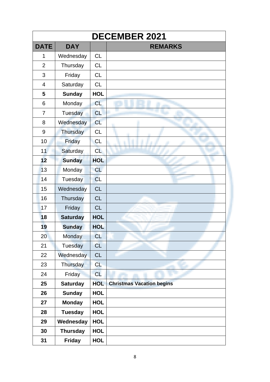|                |                 |            | <b>DECEMBER 2021</b>             |
|----------------|-----------------|------------|----------------------------------|
| <b>DATE</b>    | <b>DAY</b>      |            | <b>REMARKS</b>                   |
| 1              | Wednesday       | <b>CL</b>  |                                  |
| $\overline{2}$ | Thursday        | <b>CL</b>  |                                  |
| 3              | Friday          | <b>CL</b>  |                                  |
| $\overline{4}$ | Saturday        | <b>CL</b>  |                                  |
| 5              | <b>Sunday</b>   | <b>HOL</b> |                                  |
| 6              | Monday          | CL         |                                  |
| $\overline{7}$ | <b>Tuesday</b>  | <b>CL</b>  |                                  |
| 8              | Wednesday       | CL         |                                  |
| 9              | Thursday        | <b>CL</b>  |                                  |
| 10             | Friday          | <b>CL</b>  |                                  |
| 11             | Saturday        | <b>CL</b>  |                                  |
| 12             | <b>Sunday</b>   | <b>HOL</b> |                                  |
| 13             | Monday          | <b>CL</b>  |                                  |
| 14             | Tuesday         | <b>CL</b>  |                                  |
| 15             | Wednesday       | <b>CL</b>  |                                  |
| 16             | Thursday        | <b>CL</b>  |                                  |
| 17             | Friday          | <b>CL</b>  |                                  |
| 18             | <b>Saturday</b> | <b>HOL</b> |                                  |
| 19             | <b>Sunday</b>   | <b>HOL</b> |                                  |
| 20             | Monday          | <b>CL</b>  |                                  |
| 21             | <b>Tuesday</b>  | <b>CL</b>  |                                  |
| 22             | Wednesday       | <b>CL</b>  |                                  |
| 23             | Thursday        | <b>CL</b>  |                                  |
| 24             | Friday          | <b>CL</b>  |                                  |
| 25             | <b>Saturday</b> | <b>HOL</b> | <b>Christmas Vacation begins</b> |
| 26             | <b>Sunday</b>   | <b>HOL</b> |                                  |
| 27             | <b>Monday</b>   | <b>HOL</b> |                                  |
| 28             | <b>Tuesday</b>  | <b>HOL</b> |                                  |
| 29             | Wednesday       | <b>HOL</b> |                                  |
| 30             | <b>Thursday</b> | <b>HOL</b> |                                  |
| 31             | <b>Friday</b>   | <b>HOL</b> |                                  |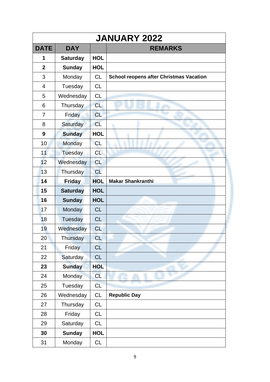|                | <b>JANUARY 2022</b> |            |                                                |  |  |
|----------------|---------------------|------------|------------------------------------------------|--|--|
| <b>DATE</b>    | <b>DAY</b>          |            | <b>REMARKS</b>                                 |  |  |
| 1              | <b>Saturday</b>     | <b>HOL</b> |                                                |  |  |
| $\overline{2}$ | <b>Sunday</b>       | <b>HOL</b> |                                                |  |  |
| 3              | Monday              | <b>CL</b>  | <b>School reopens after Christmas Vacation</b> |  |  |
| $\overline{4}$ | Tuesday             | <b>CL</b>  |                                                |  |  |
| 5              | Wednesday           | <b>CL</b>  |                                                |  |  |
| 6              | Thursday            | <b>CL</b>  |                                                |  |  |
| $\overline{7}$ | Friday              | <b>CL</b>  |                                                |  |  |
| 8              | Saturday            | <b>CL</b>  |                                                |  |  |
| 9              | <b>Sunday</b>       | <b>HOL</b> |                                                |  |  |
| 10             | Monday              | <b>CL</b>  |                                                |  |  |
| 11             | Tuesday             | <b>CL</b>  |                                                |  |  |
| 12             | Wednesday           | <b>CL</b>  |                                                |  |  |
| 13             | Thursday            | <b>CL</b>  |                                                |  |  |
| 14             | <b>Friday</b>       | <b>HOL</b> | <b>Makar Shankranthi</b>                       |  |  |
| 15             | <b>Saturday</b>     | <b>HOL</b> |                                                |  |  |
| 16             | <b>Sunday</b>       | <b>HOL</b> |                                                |  |  |
| 17             | Monday              | <b>CL</b>  |                                                |  |  |
| 18             | Tuesday             | <b>CL</b>  |                                                |  |  |
| 19             | Wednesday           | <b>CL</b>  |                                                |  |  |
| 20             | Thursday            | <b>CL</b>  |                                                |  |  |
| 21             | Friday              | <b>CL</b>  |                                                |  |  |
| 22             | Saturday            | <b>CL</b>  |                                                |  |  |
| 23             | <b>Sunday</b>       | <b>HOL</b> |                                                |  |  |
| 24             | Monday              | <b>CL</b>  |                                                |  |  |
| 25             | Tuesday             | CL         |                                                |  |  |
| 26             | Wednesday           | CL         | <b>Republic Day</b>                            |  |  |
| 27             | Thursday            | <b>CL</b>  |                                                |  |  |
| 28             | Friday              | <b>CL</b>  |                                                |  |  |
| 29             | Saturday            | <b>CL</b>  |                                                |  |  |
| 30             | <b>Sunday</b>       | <b>HOL</b> |                                                |  |  |
| 31             | Monday              | <b>CL</b>  |                                                |  |  |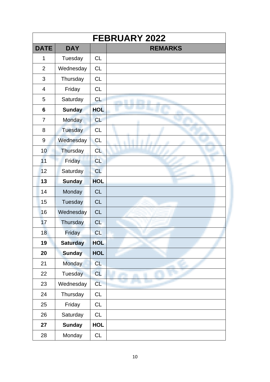|                |                 |            | <b>FEBRUARY 2022</b> |
|----------------|-----------------|------------|----------------------|
| <b>DATE</b>    | <b>DAY</b>      |            | <b>REMARKS</b>       |
| $\mathbf{1}$   | Tuesday         | <b>CL</b>  |                      |
| $\overline{2}$ | Wednesday       | <b>CL</b>  |                      |
| 3              | Thursday        | <b>CL</b>  |                      |
| 4              | Friday          | <b>CL</b>  |                      |
| 5              | Saturday        | <b>CL</b>  |                      |
| 6              | <b>Sunday</b>   | <b>HOL</b> |                      |
| $\overline{7}$ | <b>Monday</b>   | <b>CL</b>  |                      |
| 8              | <b>Tuesday</b>  | CL         |                      |
| 9              | Wednesday       | <b>CL</b>  |                      |
| 10             | Thursday        | <b>CL</b>  |                      |
| 11             | Friday          | CL         |                      |
| 12             | Saturday        | CL         |                      |
| 13             | <b>Sunday</b>   | <b>HOL</b> |                      |
| 14             | Monday          | <b>CL</b>  |                      |
| 15             | Tuesday         | <b>CL</b>  |                      |
| 16             | Wednesday       | <b>CL</b>  |                      |
| 17             | Thursday        | <b>CL</b>  |                      |
| 18             | Friday          | <b>CL</b>  |                      |
| 19             | <b>Saturday</b> | <b>HOL</b> |                      |
| 20             | <b>Sunday</b>   | <b>HOL</b> |                      |
| 21             | <b>Monday</b>   | <b>CL</b>  |                      |
| 22             | Tuesday         | <b>CL</b>  |                      |
| 23             | Wednesday       | <b>CL</b>  |                      |
| 24             | Thursday        | CL         |                      |
| 25             | Friday          | CL         |                      |
| 26             | Saturday        | CL         |                      |
| 27             | <b>Sunday</b>   | <b>HOL</b> |                      |
| 28             | Monday          | CL         |                      |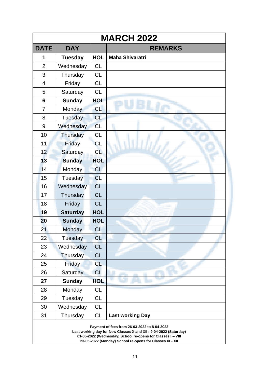|                                                                                                                                                                                                                                              | <b>MARCH 2022</b> |            |                         |  |
|----------------------------------------------------------------------------------------------------------------------------------------------------------------------------------------------------------------------------------------------|-------------------|------------|-------------------------|--|
| <b>DATE</b>                                                                                                                                                                                                                                  | <b>DAY</b>        |            | <b>REMARKS</b>          |  |
| 1                                                                                                                                                                                                                                            | <b>Tuesday</b>    | <b>HOL</b> | <b>Maha Shivaratri</b>  |  |
| $\overline{2}$                                                                                                                                                                                                                               | Wednesday         | <b>CL</b>  |                         |  |
| 3                                                                                                                                                                                                                                            | Thursday          | <b>CL</b>  |                         |  |
| 4                                                                                                                                                                                                                                            | Friday            | <b>CL</b>  |                         |  |
| 5                                                                                                                                                                                                                                            | Saturday          | <b>CL</b>  |                         |  |
| 6                                                                                                                                                                                                                                            | <b>Sunday</b>     | <b>HOL</b> |                         |  |
| $\overline{7}$                                                                                                                                                                                                                               | Monday            | CL         |                         |  |
| 8                                                                                                                                                                                                                                            | Tuesday           | CL         |                         |  |
| 9                                                                                                                                                                                                                                            | Wednesday         | <b>CL</b>  |                         |  |
| 10                                                                                                                                                                                                                                           | Thursday          | <b>CL</b>  |                         |  |
| 11                                                                                                                                                                                                                                           | Friday            | <b>CL</b>  |                         |  |
| 12                                                                                                                                                                                                                                           | Saturday          | <b>CL</b>  |                         |  |
| 13                                                                                                                                                                                                                                           | <b>Sunday</b>     | <b>HOL</b> |                         |  |
| 14                                                                                                                                                                                                                                           | Monday            | <b>CL</b>  |                         |  |
| 15                                                                                                                                                                                                                                           | Tuesday           | <b>CL</b>  |                         |  |
| 16                                                                                                                                                                                                                                           | Wednesday         | <b>CL</b>  |                         |  |
| 17                                                                                                                                                                                                                                           | Thursday          | <b>CL</b>  |                         |  |
| 18                                                                                                                                                                                                                                           | Friday            | <b>CL</b>  |                         |  |
| 19                                                                                                                                                                                                                                           | <b>Saturday</b>   | <b>HOL</b> |                         |  |
| 20                                                                                                                                                                                                                                           | <b>Sunday</b>     | <b>HOL</b> |                         |  |
| 21                                                                                                                                                                                                                                           | Monday            | <b>CL</b>  |                         |  |
| 22                                                                                                                                                                                                                                           | Tuesday           | <b>CL</b>  |                         |  |
| 23                                                                                                                                                                                                                                           | Wednesday         | <b>CL</b>  |                         |  |
| 24                                                                                                                                                                                                                                           | Thursday          | <b>CL</b>  |                         |  |
| 25                                                                                                                                                                                                                                           | Friday            | <b>CL</b>  |                         |  |
| 26                                                                                                                                                                                                                                           | <b>Saturday</b>   | <b>CL</b>  |                         |  |
| 27                                                                                                                                                                                                                                           | <b>Sunday</b>     | <b>HOL</b> |                         |  |
| 28                                                                                                                                                                                                                                           | Monday            | <b>CL</b>  |                         |  |
| 29                                                                                                                                                                                                                                           | Tuesday           | <b>CL</b>  |                         |  |
| 30                                                                                                                                                                                                                                           | Wednesday         | <b>CL</b>  |                         |  |
| 31                                                                                                                                                                                                                                           | Thursday          | <b>CL</b>  | <b>Last working Day</b> |  |
| Payment of fees from 26-03-2022 to 8-04-2022<br>Last working day for New Classes X and XII : 9-04-2022 (Saturday)<br>01-06-2022 (Wednesday) School re-opens for Classes I - VIII<br>23-05-2022 (Monday) School re-opens for Classes IX - XII |                   |            |                         |  |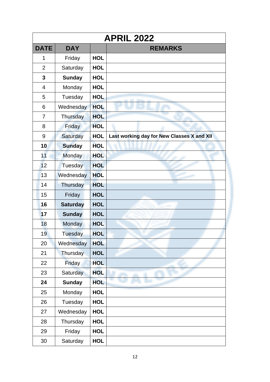| <b>APRIL 2022</b> |                 |            |                                            |  |
|-------------------|-----------------|------------|--------------------------------------------|--|
| <b>DATE</b>       | <b>DAY</b>      |            | <b>REMARKS</b>                             |  |
| 1                 | Friday          | <b>HOL</b> |                                            |  |
| $\overline{2}$    | Saturday        | <b>HOL</b> |                                            |  |
| 3                 | <b>Sunday</b>   | <b>HOL</b> |                                            |  |
| 4                 | Monday          | <b>HOL</b> |                                            |  |
| 5                 | Tuesday         | <b>HOL</b> |                                            |  |
| 6                 | Wednesday       | <b>HOL</b> |                                            |  |
| 7                 | Thursday        | <b>HOL</b> |                                            |  |
| 8                 | Friday          | <b>HOL</b> |                                            |  |
| 9                 | Saturday        | <b>HOL</b> | Last working day for New Classes X and XII |  |
| 10                | <b>Sunday</b>   | <b>HOL</b> |                                            |  |
| 11                | Monday          | <b>HOL</b> |                                            |  |
| 12                | Tuesday         | <b>HOL</b> |                                            |  |
| 13                | Wednesday       | <b>HOL</b> |                                            |  |
| 14                | Thursday        | <b>HOL</b> |                                            |  |
| 15                | Friday          | <b>HOL</b> |                                            |  |
| 16                | <b>Saturday</b> | <b>HOL</b> |                                            |  |
| 17                | <b>Sunday</b>   | <b>HOL</b> |                                            |  |
| 18                | Monday          | <b>HOL</b> |                                            |  |
| 19                | Tuesday         | <b>HOL</b> |                                            |  |
| 20                | Wednesday       | <b>HOL</b> |                                            |  |
| 21                | Thursday        | <b>HOL</b> |                                            |  |
| 22                | Friday          | <b>HOL</b> |                                            |  |
| 23                | <b>Saturday</b> | <b>HOL</b> |                                            |  |
| 24                | <b>Sunday</b>   | <b>HOL</b> |                                            |  |
| 25                | Monday          | <b>HOL</b> |                                            |  |
| 26                | Tuesday         | <b>HOL</b> |                                            |  |
| 27                | Wednesday       | <b>HOL</b> |                                            |  |
| 28                | Thursday        | <b>HOL</b> |                                            |  |
| 29                | Friday          | <b>HOL</b> |                                            |  |
| 30                | Saturday        | <b>HOL</b> |                                            |  |